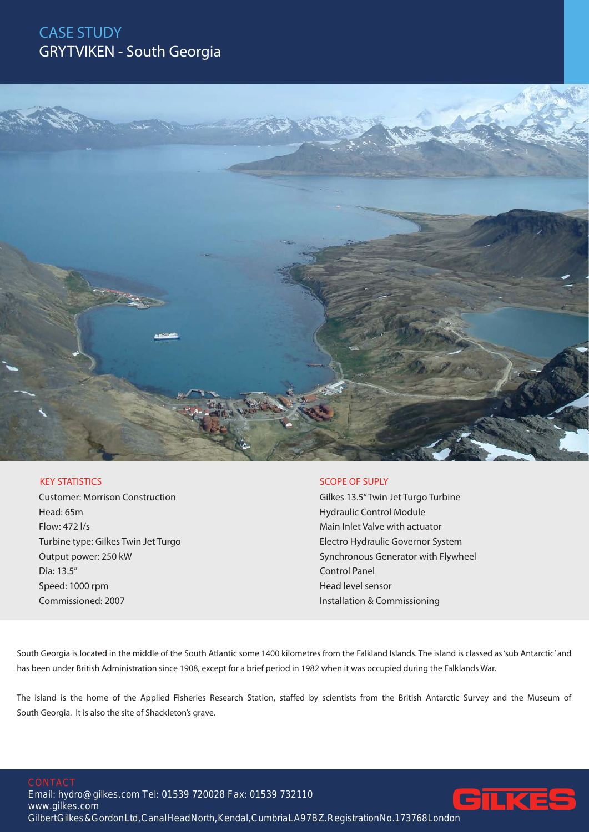## CASE STUDY GRYTVIKEN - South Georgia



## KEY STATISTICS

Customer: Morrison Construction Head: 65m Flow: 472 l/s Turbine type: Gilkes Twin Jet Turgo Output power: 250 kW Dia: 13.5" Speed: 1000 rpm Commissioned: 2007

## SCOPE OF SUPLY

Gilkes 13.5" Twin Jet Turgo Turbine Hydraulic Control Module Main Inlet Valve with actuator Electro Hydraulic Governor System Synchronous Generator with Flywheel Control Panel Head level sensor Installation & Commissioning

South Georgia is located in the middle of the South Atlantic some 1400 kilometres from the Falkland Islands. The island is classed as 'sub Antarctic' and has been under British Administration since 1908, except for a brief period in 1982 when it was occupied during the Falklands War.

The island is the home of the Applied Fisheries Research Station, staffed by scientists from the British Antarctic Survey and the Museum of South Georgia. It is also the site of Shackleton's grave.

Email: hydro@gilkes.com Tel: 01539 720028 Fax: 01539 732110 www.gilkes.com Gilbert Gilkes & Gordon Ltd, Canal Head North, Kendal, Cumbria LA97BZ. Registration No.173768 London